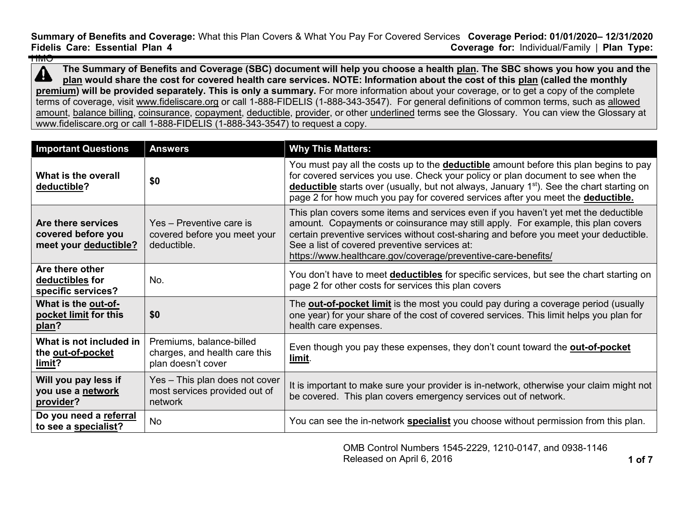**Summary of Benefits and Coverage:** What this Plan Covers & What You Pay For Covered Services **Coverage Period: 01/01/2020– 12/31/2020 Coverage for: Individual/Family | Plan Type:** HMO

**The Summary of Benefits and Coverage (SBC) document will help you choose a health [plan.](https://www.healthcare.gov/sbc-glossary/#plan) The SBC shows you how you and the**   $\blacktriangle$ **[plan](https://www.healthcare.gov/sbc-glossary/#plan) would share the cost for covered health care services. NOTE: Information about the cost of this [plan](https://www.healthcare.gov/sbc-glossary/#plan) (called the monthly [premium\)](https://www.healthcare.gov/sbc-glossary/#premium) will be provided separately. This is only a summary.** For more information about your coverage, or to get a copy of the complete terms of coverage, visit [www.fideliscare.org](http://www.fideliscare.org/) or call 1-888-FIDELIS (1-888-343-3547). For general definitions of common terms, such as [allowed](https://www.healthcare.gov/sbc-glossary/#allowed-amount)  [amount,](https://www.healthcare.gov/sbc-glossary/#allowed-amount) [balance billing,](https://www.healthcare.gov/sbc-glossary/#balance-billing) [coinsurance,](https://www.healthcare.gov/sbc-glossary/#coinsurance) [copayment,](https://www.healthcare.gov/sbc-glossary/#copayment) [deductible,](https://www.healthcare.gov/sbc-glossary/#deductible) [provider,](https://www.healthcare.gov/sbc-glossary/#provider) or other underlined terms see the Glossary. You can view the Glossary at www.fideliscare.org or call 1-888-FIDELIS (1-888-343-3547) to request a copy.

| <b>Important Questions</b>                                        | <b>Answers</b>                                                                  | <b>Why This Matters:</b>                                                                                                                                                                                                                                                                                                                                                           |
|-------------------------------------------------------------------|---------------------------------------------------------------------------------|------------------------------------------------------------------------------------------------------------------------------------------------------------------------------------------------------------------------------------------------------------------------------------------------------------------------------------------------------------------------------------|
| What is the overall<br>deductible?                                | \$0                                                                             | You must pay all the costs up to the <b>deductible</b> amount before this plan begins to pay<br>for covered services you use. Check your policy or plan document to see when the<br>deductible starts over (usually, but not always, January 1 <sup>st</sup> ). See the chart starting on<br>page 2 for how much you pay for covered services after you meet the deductible.       |
| Are there services<br>covered before you<br>meet your deductible? | Yes - Preventive care is<br>covered before you meet your<br>deductible.         | This plan covers some items and services even if you haven't yet met the deductible<br>amount. Copayments or coinsurance may still apply. For example, this plan covers<br>certain preventive services without cost-sharing and before you meet your deductible.<br>See a list of covered preventive services at:<br>https://www.healthcare.gov/coverage/preventive-care-benefits/ |
| Are there other<br>deductibles for<br>specific services?          | No.                                                                             | You don't have to meet <b>deductibles</b> for specific services, but see the chart starting on<br>page 2 for other costs for services this plan covers                                                                                                                                                                                                                             |
| What is the out-of-<br>pocket limit for this<br>plan?             | \$0                                                                             | The <b>out-of-pocket limit</b> is the most you could pay during a coverage period (usually<br>one year) for your share of the cost of covered services. This limit helps you plan for<br>health care expenses.                                                                                                                                                                     |
| What is not included in<br>the out-of-pocket<br>limit?            | Premiums, balance-billed<br>charges, and health care this<br>plan doesn't cover | Even though you pay these expenses, they don't count toward the <b>out-of-pocket</b><br>limit.                                                                                                                                                                                                                                                                                     |
| Will you pay less if<br>you use a network<br>provider?            | Yes - This plan does not cover<br>most services provided out of<br>network      | It is important to make sure your provider is in-network, otherwise your claim might not<br>be covered. This plan covers emergency services out of network.                                                                                                                                                                                                                        |
| Do you need a referral<br>to see a specialist?                    | <b>No</b>                                                                       | You can see the in-network specialist you choose without permission from this plan.                                                                                                                                                                                                                                                                                                |

OMB Control Numbers 1545-2229, 1210-0147, and 0938-1146 Released on April 6, 2016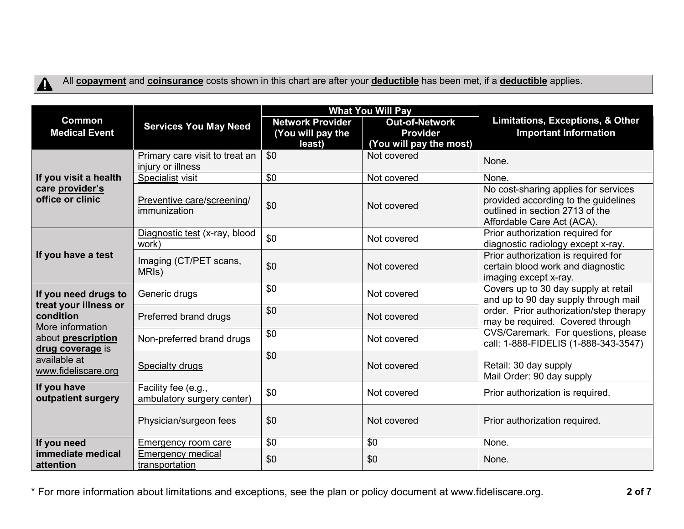# $\blacktriangle$

All **[copayment](https://www.healthcare.gov/sbc-glossary/#copayment)** and **[coinsurance](https://www.healthcare.gov/sbc-glossary/#coinsurance)** costs shown in this chart are after your **[deductible](https://www.healthcare.gov/sbc-glossary/#deductible)** has been met, if a **[deductible](https://www.healthcare.gov/sbc-glossary/#deductible)** applies.

|                                                                                                                                                                 | <b>Services You May Need</b>                        | <b>What You Will Pay</b>                               |                                                                     |                                                                                                                                                                                                                                            |  |
|-----------------------------------------------------------------------------------------------------------------------------------------------------------------|-----------------------------------------------------|--------------------------------------------------------|---------------------------------------------------------------------|--------------------------------------------------------------------------------------------------------------------------------------------------------------------------------------------------------------------------------------------|--|
| <b>Common</b><br><b>Medical Event</b>                                                                                                                           |                                                     | <b>Network Provider</b><br>(You will pay the<br>least) | <b>Out-of-Network</b><br><b>Provider</b><br>(You will pay the most) | Limitations, Exceptions, & Other<br><b>Important Information</b>                                                                                                                                                                           |  |
|                                                                                                                                                                 | Primary care visit to treat an<br>injury or illness | \$0                                                    | Not covered                                                         | None.                                                                                                                                                                                                                                      |  |
| If you visit a health                                                                                                                                           | Specialist visit                                    | \$0                                                    | Not covered                                                         | None.                                                                                                                                                                                                                                      |  |
| care provider's<br>office or clinic                                                                                                                             | Preventive care/screening/<br>immunization          | \$0                                                    | Not covered                                                         | No cost-sharing applies for services<br>provided according to the guidelines<br>outlined in section 2713 of the<br>Affordable Care Act (ACA).                                                                                              |  |
| If you have a test                                                                                                                                              | Diagnostic test (x-ray, blood<br>work)              | \$0                                                    | Not covered                                                         | Prior authorization required for<br>diagnostic radiology except x-ray.                                                                                                                                                                     |  |
|                                                                                                                                                                 | Imaging (CT/PET scans,<br>MRIS)                     | \$0                                                    | Not covered                                                         | Prior authorization is required for<br>certain blood work and diagnostic<br>imaging except x-ray.                                                                                                                                          |  |
| If you need drugs to<br>treat your illness or<br>condition<br>More information<br>about prescription<br>drug coverage is<br>available at<br>www.fideliscare.org | Generic drugs                                       | \$0                                                    | Not covered                                                         | Covers up to 30 day supply at retail<br>and up to 90 day supply through mail<br>order. Prior authorization/step therapy<br>may be required. Covered through<br>CVS/Caremark. For questions, please<br>call: 1-888-FIDELIS (1-888-343-3547) |  |
|                                                                                                                                                                 | Preferred brand drugs                               | \$0                                                    | Not covered                                                         |                                                                                                                                                                                                                                            |  |
|                                                                                                                                                                 | Non-preferred brand drugs                           | \$0                                                    | Not covered                                                         |                                                                                                                                                                                                                                            |  |
|                                                                                                                                                                 | <b>Specialty drugs</b>                              | \$0                                                    | Not covered                                                         | Retail: 30 day supply<br>Mail Order: 90 day supply                                                                                                                                                                                         |  |
| If you have<br>outpatient surgery                                                                                                                               | Facility fee (e.g.,<br>ambulatory surgery center)   | \$0                                                    | Not covered                                                         | Prior authorization is required.                                                                                                                                                                                                           |  |
|                                                                                                                                                                 | Physician/surgeon fees                              | \$0                                                    | Not covered                                                         | Prior authorization required.                                                                                                                                                                                                              |  |
| If you need                                                                                                                                                     | Emergency room care                                 | \$0                                                    | \$0                                                                 | None.                                                                                                                                                                                                                                      |  |
| immediate medical<br>attention                                                                                                                                  | <b>Emergency medical</b><br>transportation          | \$0                                                    | \$0                                                                 | None.                                                                                                                                                                                                                                      |  |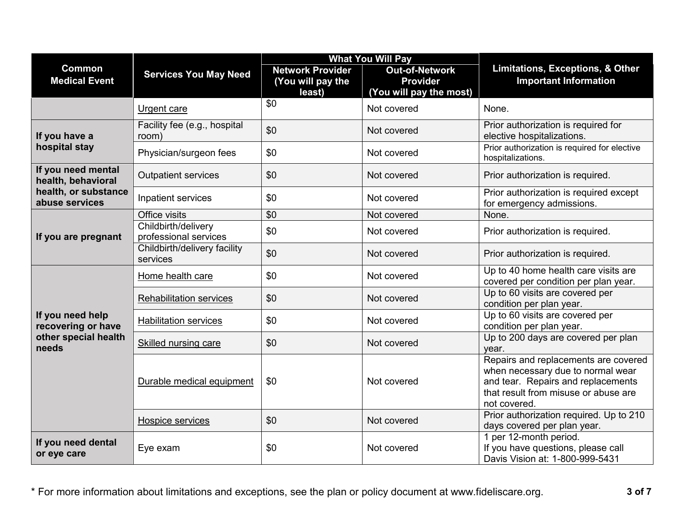|                                                                         |                                              |                                                        | <b>What You Will Pay</b>                                            |                                                                                                                                                                         |
|-------------------------------------------------------------------------|----------------------------------------------|--------------------------------------------------------|---------------------------------------------------------------------|-------------------------------------------------------------------------------------------------------------------------------------------------------------------------|
| <b>Common</b><br><b>Medical Event</b>                                   | <b>Services You May Need</b>                 | <b>Network Provider</b><br>(You will pay the<br>least) | <b>Out-of-Network</b><br><b>Provider</b><br>(You will pay the most) | <b>Limitations, Exceptions, &amp; Other</b><br><b>Important Information</b>                                                                                             |
|                                                                         | Urgent care                                  | \$0                                                    | Not covered                                                         | None.                                                                                                                                                                   |
| If you have a                                                           | Facility fee (e.g., hospital<br>room)        | \$0                                                    | Not covered                                                         | Prior authorization is required for<br>elective hospitalizations.                                                                                                       |
| hospital stay                                                           | Physician/surgeon fees                       | \$0                                                    | Not covered                                                         | Prior authorization is required for elective<br>hospitalizations.                                                                                                       |
| If you need mental<br>health, behavioral                                | <b>Outpatient services</b>                   | \$0                                                    | Not covered                                                         | Prior authorization is required.                                                                                                                                        |
| health, or substance<br>abuse services                                  | Inpatient services                           | \$0                                                    | Not covered                                                         | Prior authorization is required except<br>for emergency admissions.                                                                                                     |
|                                                                         | Office visits                                | \$0                                                    | Not covered                                                         | None.                                                                                                                                                                   |
| If you are pregnant                                                     | Childbirth/delivery<br>professional services | \$0                                                    | Not covered                                                         | Prior authorization is required.                                                                                                                                        |
|                                                                         | Childbirth/delivery facility<br>services     | \$0                                                    | Not covered                                                         | Prior authorization is required.                                                                                                                                        |
| If you need help<br>recovering or have<br>other special health<br>needs | Home health care                             | \$0                                                    | Not covered                                                         | Up to 40 home health care visits are<br>covered per condition per plan year.                                                                                            |
|                                                                         | <b>Rehabilitation services</b>               | \$0                                                    | Not covered                                                         | Up to 60 visits are covered per<br>condition per plan year.                                                                                                             |
|                                                                         | <b>Habilitation services</b>                 | \$0                                                    | Not covered                                                         | Up to 60 visits are covered per<br>condition per plan year.                                                                                                             |
|                                                                         | <b>Skilled nursing care</b>                  | \$0                                                    | Not covered                                                         | Up to 200 days are covered per plan<br>year.                                                                                                                            |
|                                                                         | Durable medical equipment                    | \$0                                                    | Not covered                                                         | Repairs and replacements are covered<br>when necessary due to normal wear<br>and tear. Repairs and replacements<br>that result from misuse or abuse are<br>not covered. |
|                                                                         | Hospice services                             | \$0                                                    | Not covered                                                         | Prior authorization required. Up to 210<br>days covered per plan year.                                                                                                  |
| If you need dental<br>or eye care                                       | Eye exam                                     | \$0                                                    | Not covered                                                         | 1 per 12-month period.<br>If you have questions, please call<br>Davis Vision at: 1-800-999-5431                                                                         |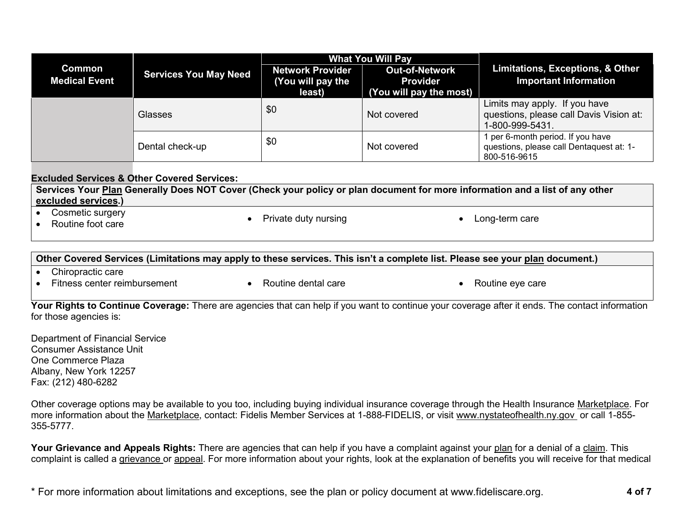|                                       |                              | <b>What You Will Pay</b>                               |                                                                     |                                                                                               |
|---------------------------------------|------------------------------|--------------------------------------------------------|---------------------------------------------------------------------|-----------------------------------------------------------------------------------------------|
| <b>Common</b><br><b>Medical Event</b> | <b>Services You May Need</b> | <b>Network Provider</b><br>(You will pay the<br>least) | <b>Out-of-Network</b><br><b>Provider</b><br>(You will pay the most) | <b>Limitations, Exceptions, &amp; Other</b><br><b>Important Information</b>                   |
|                                       | Glasses                      | \$0                                                    | Not covered                                                         | Limits may apply. If you have<br>questions, please call Davis Vision at:<br>1-800-999-5431.   |
|                                       | Dental check-up              | \$0                                                    | Not covered                                                         | 1 per 6-month period. If you have<br>questions, please call Dentaquest at: 1-<br>800-516-9615 |

#### **Excluded Services & Other Covered Services:**

**Services Your [Plan](https://www.healthcare.gov/sbc-glossary/#plan) Generally Does NOT Cover (Check your policy or plan document for more information and a list of any other [excluded services.](https://www.healthcare.gov/sbc-glossary/#excluded-services))**

• Cosmetic surgery

• Cosmetic surgery and the contract of the Private duty nursing and the cong-term care are Routine foot care

- **Other Covered Services (Limitations may apply to these services. This isn't a complete list. Please see your [plan](https://www.healthcare.gov/sbc-glossary/#plan) document.)**
- Chiropractic care
- Fitness center reimbursement Routine dental care Routine eye care
	-

**Your Rights to Continue Coverage:** There are agencies that can help if you want to continue your coverage after it ends. The contact information for those agencies is:

Department of Financial Service Consumer Assistance Unit One Commerce Plaza Albany, New York 12257 Fax: (212) 480-6282

Other coverage options may be available to you too, including buying individual insurance coverage through the Health Insurance [Marketplace.](https://www.healthcare.gov/sbc-glossary/#marketplace) For more information about the [Marketplace,](https://www.healthcare.gov/sbc-glossary/#marketplace) contact: Fidelis Member Services at 1-888-FIDELIS, or visit www.nystateofhealth.ny.gov or call 1-855- 355-5777.

**Your Grievance and Appeals Rights:** There are agencies that can help if you have a complaint against your [plan](https://www.healthcare.gov/sbc-glossary/#plan) for a denial of a [claim.](https://www.healthcare.gov/sbc-glossary/#claim) This complaint is called a [grievance](https://www.healthcare.gov/sbc-glossary/#grievance) or [appeal.](https://www.healthcare.gov/sbc-glossary/#appeal) For more information about your rights, look at the explanation of benefits you will receive for that medical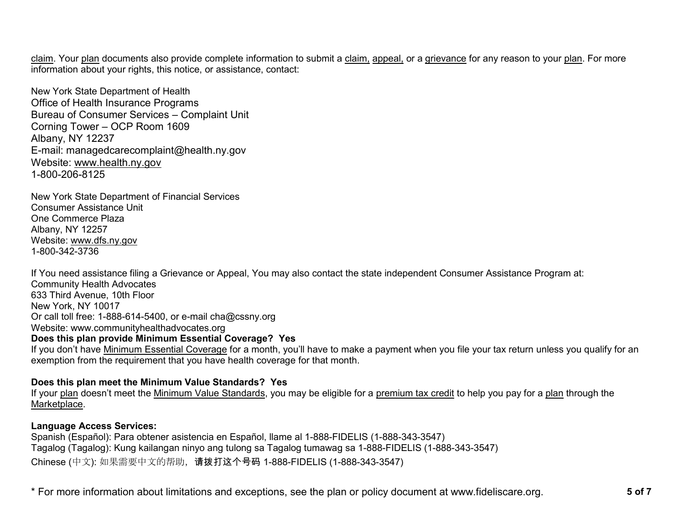[claim.](https://www.healthcare.gov/sbc-glossary/#claim) Your [plan](https://www.healthcare.gov/sbc-glossary/#plan) documents also provide complete information to submit a [claim,](https://www.healthcare.gov/sbc-glossary/#claim) [appeal,](https://www.healthcare.gov/sbc-glossary/#appeal) or a [grievance](https://www.healthcare.gov/sbc-glossary/#grievance) for any reason to your [plan.](https://www.healthcare.gov/sbc-glossary/#plan) For more information about your rights, this notice, or assistance, contact:

New York State Department of Health Office of Health Insurance Programs Bureau of Consumer Services – Complaint Unit Corning Tower – OCP Room 1609 Albany, NY 12237 E-mail: managedcarecomplaint@health.ny.gov Website: [www.health.ny.gov](http://www.health.ny.gov/) 1-800-206-8125

New York State Department of Financial Services Consumer Assistance Unit One Commerce Plaza Albany, NY 12257 Website: [www.dfs.ny.gov](http://www.dfs.ny.gov/) 1-800-342-3736

If You need assistance filing a Grievance or Appeal, You may also contact the state independent Consumer Assistance Program at: Community Health Advocates 633 Third Avenue, 10th Floor New York, NY 10017 Or call toll free: 1-888-614-5400, or e-mail cha@cssny.org Website: www.communityhealthadvocates.org **Does this plan provide Minimum Essential Coverage? Yes**

If you don't have [Minimum Essential Coverage](https://www.healthcare.gov/sbc-glossary/#minimum-essential-coverage) for a month, you'll have to make a payment when you file your tax return unless you qualify for an exemption from the requirement that you have health coverage for that month.

### **Does this plan meet the Minimum Value Standards? Yes**

If your [plan](https://www.healthcare.gov/sbc-glossary/#plan) doesn't meet the [Minimum Value Standards,](https://www.healthcare.gov/sbc-glossary/#minimum-value-standard) you may be eligible for a [premium tax credit](https://www.healthcare.gov/sbc-glossary/#premium-tax-credits) to help you pay for a [plan](https://www.healthcare.gov/sbc-glossary/#plan) through the [Marketplace.](https://www.healthcare.gov/sbc-glossary/#marketplace)

### **Language Access Services:**

Spanish (Español): Para obtener asistencia en Español, llame al 1-888-FIDELIS (1-888-343-3547) Tagalog (Tagalog): Kung kailangan ninyo ang tulong sa Tagalog tumawag sa 1-888-FIDELIS (1-888-343-3547) Chinese (中文): 如果需要中文的帮助,请拨打这个号码 1-888-FIDELIS (1-888-343-3547)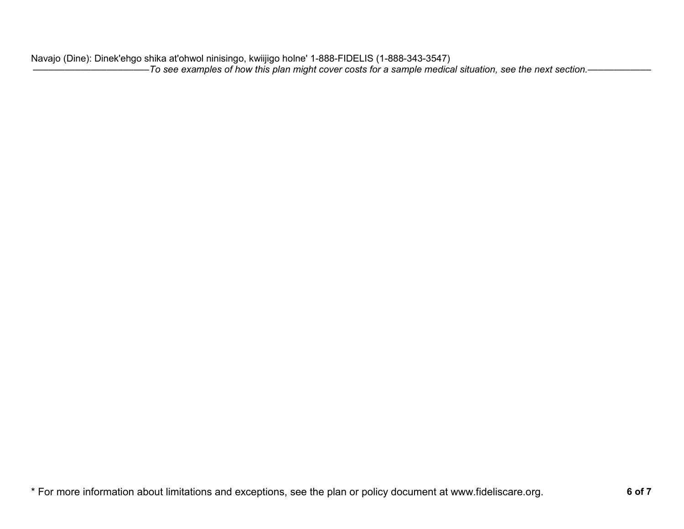Navajo (Dine): Dinek'ehgo shika at'ohwol ninisingo, kwiijigo holne' 1-888-FIDELIS (1-888-343-3547) ––––––––––––––––––––––*To see examples of how this plan might cover costs for a sample medical situation, see the next section.–––––––––––*–